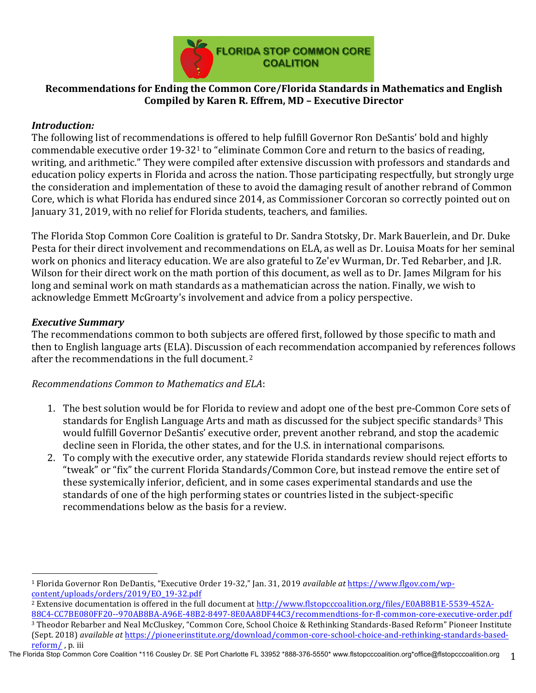

# **Recommendations for Ending the Common Core/Florida Standards in Mathematics and English Compiled by Karen R. Effrem, MD – Executive Director**

# *Introduction:*

The following list of recommendations is offered to help fulfill Governor Ron DeSantis' bold and highly commendable executive order  $19-32<sup>1</sup>$  to "eliminate Common Core and return to the basics of reading, writing, and arithmetic." They were compiled after extensive discussion with professors and standards and education policy experts in Florida and across the nation. Those participating respectfully, but strongly urge the consideration and implementation of these to avoid the damaging result of another rebrand of Common Core, which is what Florida has endured since 2014, as Commissioner Corcoran so correctly pointed out on January 31, 2019, with no relief for Florida students, teachers, and families.

The Florida Stop Common Core Coalition is grateful to Dr. Sandra Stotsky, Dr. Mark Bauerlein, and Dr. Duke Pesta for their direct involvement and recommendations on ELA, as well as Dr. Louisa Moats for her seminal work on phonics and literacy education. We are also grateful to Ze'ev Wurman, Dr. Ted Rebarber, and I.R. Wilson for their direct work on the math portion of this document, as well as to Dr. James Milgram for his long and seminal work on math standards as a mathematician across the nation. Finally, we wish to acknowledge Emmett McGroarty's involvement and advice from a policy perspective.

## *Executive Summary*

The recommendations common to both subjects are offered first, followed by those specific to math and then to English language arts (ELA). Discussion of each recommendation accompanied by references follows after the recommendations in the full document.<sup>2</sup>

*Recommendations Common to Mathematics and ELA*:

- 1. The best solution would be for Florida to review and adopt one of the best pre-Common Core sets of standards for English Language Arts and math as discussed for the subject specific standards<sup>3</sup> This would fulfill Governor DeSantis' executive order, prevent another rebrand, and stop the academic decline seen in Florida, the other states, and for the U.S. in international comparisons.
- 2. To comply with the executive order, any statewide Florida standards review should reject efforts to "tweak" or "fix" the current Florida Standards/Common Core, but instead remove the entire set of these systemically inferior, deficient, and in some cases experimental standards and use the standards of one of the high performing states or countries listed in the subject-specific recommendations below as the basis for a review.

## The Florida Stop Common Core Coalition \*116 Cousley Dr. SE Port Charlotte FL 33952 \*888-376-5550\* www.flstopcccoalition.org \*office@flstopcccoalition.org 1

 <sup>1</sup> Florida Governor Ron DeDantis, "Executive Order 19-32," Jan. 31, 2019 *available at https://www.flgov.com/wp*content/uploads/orders/2019/EO\_19-32.pdf

<sup>&</sup>lt;sup>2</sup> Extensive documentation is offered in the full document at http://www.flstopcccoalition.org/files/E0AB8B1E-5539-452A-88C4-CC7BE080FF20--970AB8BA-A96E-48B2-8497-8E0AA8DF44C3/recommendtions-for-fl-common-core-executive-order.pdf <sup>3</sup> Theodor Rebarber and Neal McCluskey, "Common Core, School Choice & Rethinking Standards-Based Reform" Pioneer Institute (Sept. 2018) *available at https://pioneerinstitute.org/download/common-core-school-choice-and-rethinking-standards-based*reform/, p. iii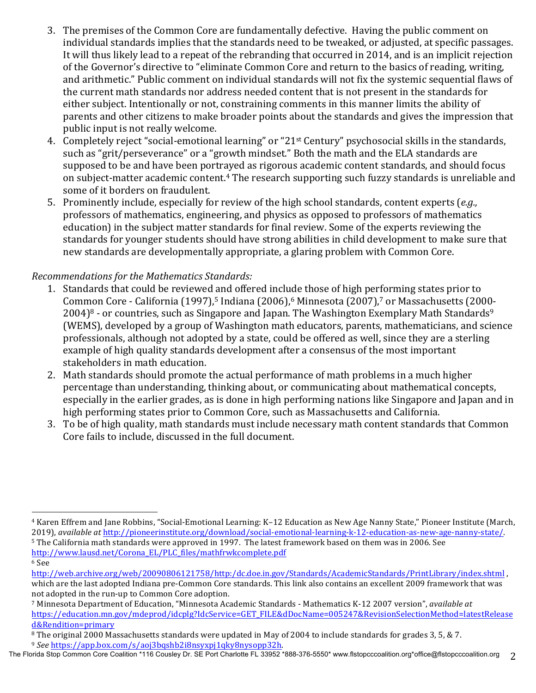- 3. The premises of the Common Core are fundamentally defective. Having the public comment on individual standards implies that the standards need to be tweaked, or adjusted, at specific passages. It will thus likely lead to a repeat of the rebranding that occurred in 2014, and is an implicit rejection of the Governor's directive to "eliminate Common Core and return to the basics of reading, writing, and arithmetic." Public comment on individual standards will not fix the systemic sequential flaws of the current math standards nor address needed content that is not present in the standards for either subject. Intentionally or not, constraining comments in this manner limits the ability of parents and other citizens to make broader points about the standards and gives the impression that public input is not really welcome.
- 4. Completely reject "social-emotional learning" or "21<sup>st</sup> Century" psychosocial skills in the standards, such as "grit/perseverance" or a "growth mindset." Both the math and the ELA standards are supposed to be and have been portrayed as rigorous academic content standards, and should focus on subject-matter academic content.<sup>4</sup> The research supporting such fuzzy standards is unreliable and some of it borders on fraudulent.
- 5. Prominently include, especially for review of the high school standards, content experts (*e.g.*, professors of mathematics, engineering, and physics as opposed to professors of mathematics education) in the subject matter standards for final review. Some of the experts reviewing the standards for younger students should have strong abilities in child development to make sure that new standards are developmentally appropriate, a glaring problem with Common Core.

# *Recommendations for the Mathematics Standards:*

- 1. Standards that could be reviewed and offered include those of high performing states prior to Common Core - California (1997),<sup>5</sup> Indiana (2006),<sup>6</sup> Minnesota (2007),<sup>7</sup> or Massachusetts (2000- $2004$ <sup>8</sup> - or countries, such as Singapore and Japan. The Washington Exemplary Math Standards<sup>9</sup> (WEMS), developed by a group of Washington math educators, parents, mathematicians, and science professionals, although not adopted by a state, could be offered as well, since they are a sterling example of high quality standards development after a consensus of the most important stakeholders in math education.
- 2. Math standards should promote the actual performance of math problems in a much higher percentage than understanding, thinking about, or communicating about mathematical concepts, especially in the earlier grades, as is done in high performing nations like Singapore and Japan and in high performing states prior to Common Core, such as Massachusetts and California.
- 3. To be of high quality, math standards must include necessary math content standards that Common Core fails to include, discussed in the full document.

http://www.lausd.net/Corona\_EL/PLC\_files/mathfrwkcomplete.pdf

 

<sup>&</sup>lt;sup>4</sup> Karen Effrem and Jane Robbins, "Social-Emotional Learning: K–12 Education as New Age Nanny State," Pioneer Institute (March, 2019), *available at* http://pioneerinstitute.org/download/social-emotional-learning-k-12-education-as-new-age-nanny-state/. <sup>5</sup> The California math standards were approved in 1997. The latest framework based on them was in 2006. See

<sup>6</sup> See 

http://web.archive.org/web/20090806121758/http:/dc.doe.in.gov/Standards/AcademicStandards/PrintLibrary/index.shtml , which are the last adopted Indiana pre-Common Core standards. This link also contains an excellent 2009 framework that was not adopted in the run-up to Common Core adoption.

<sup>&</sup>lt;sup>7</sup> Minnesota Department of Education, "Minnesota Academic Standards - Mathematics K-12 2007 version", *available at* https://education.mn.gov/mdeprod/idcplg?IdcService=GET\_FILE&dDocName=005247&RevisionSelectionMethod=latestRelease d&Rendition=primary

<sup>&</sup>lt;sup>8</sup> The original 2000 Massachusetts standards were updated in May of 2004 to include standards for grades 3, 5, & 7.

<sup>9</sup> *See* https://app.box.com/s/aoj3bqshb2i8nsyxpj1qky8nysopp32h.